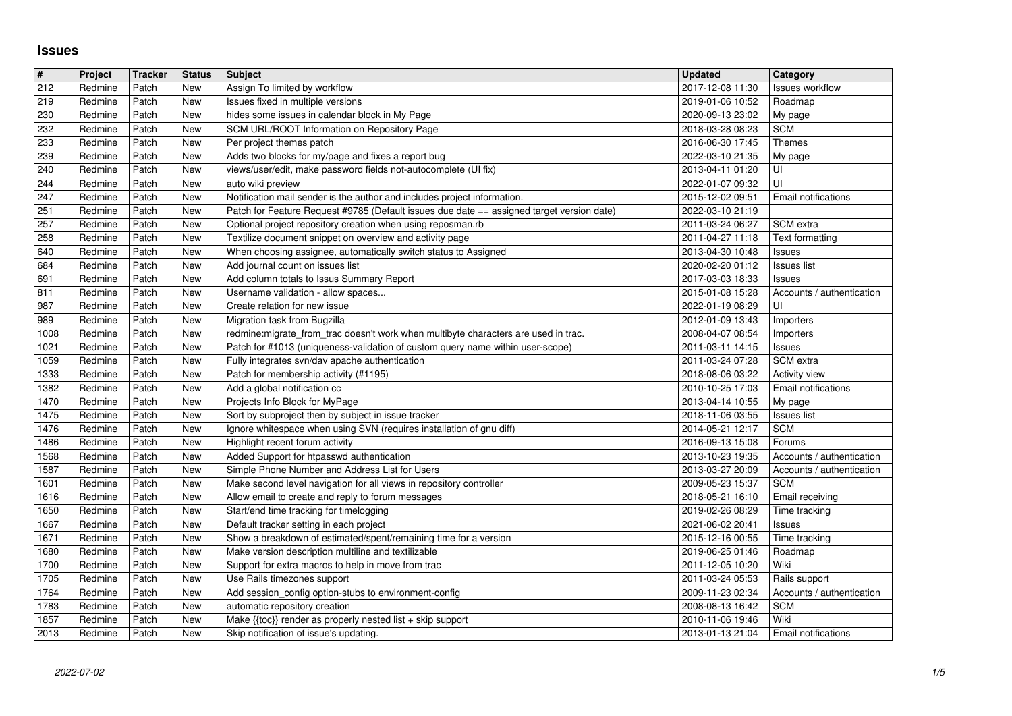## **Issues**

| $\vert \sharp$      | Project            | <b>Tracker</b> | <b>Status</b> | <b>Subject</b>                                                                                                              | <b>Updated</b>                       | Category                                    |
|---------------------|--------------------|----------------|---------------|-----------------------------------------------------------------------------------------------------------------------------|--------------------------------------|---------------------------------------------|
| $\overline{212}$    | Redmine            | Patch          | <b>New</b>    | Assign To limited by workflow                                                                                               | 2017-12-08 11:30                     | Issues workflow                             |
| 219<br>230          | Redmine<br>Redmine | Patch<br>Patch | New<br>New    | Issues fixed in multiple versions<br>hides some issues in calendar block in My Page                                         | 2019-01-06 10:52<br>2020-09-13 23:02 | Roadmap<br>My page                          |
| 232                 | Redmine            | Patch          | New           | SCM URL/ROOT Information on Repository Page                                                                                 | 2018-03-28 08:23                     | <b>SCM</b>                                  |
| 233                 | Redmine            | Patch          | New           | Per project themes patch                                                                                                    | 2016-06-30 17:45                     | <b>Themes</b>                               |
| 239                 | Redmine            | Patch          | New           | Adds two blocks for my/page and fixes a report bug                                                                          | 2022-03-10 21:35                     | My page                                     |
| 240<br>$\sqrt{244}$ | Redmine<br>Redmine | Patch<br>Patch | New<br>New    | views/user/edit, make password fields not-autocomplete (UI fix)<br>auto wiki preview                                        | 2013-04-11 01:20<br>2022-01-07 09:32 | UI<br>UI                                    |
| 247                 | Redmine            | Patch          | <b>New</b>    | Notification mail sender is the author and includes project information.                                                    | 2015-12-02 09:51                     | Email notifications                         |
| 251                 | Redmine            | Patch          | New           | Patch for Feature Request #9785 (Default issues due date == assigned target version date)                                   | 2022-03-10 21:19                     |                                             |
| 257                 | Redmine            | Patch          | New           | Optional project repository creation when using reposman.rb                                                                 | 2011-03-24 06:27                     | SCM extra                                   |
| 258<br>640          | Redmine<br>Redmine | Patch<br>Patch | New<br>New    | Textilize document snippet on overview and activity page<br>When choosing assignee, automatically switch status to Assigned | 2011-04-27 11:18<br>2013-04-30 10:48 | Text formatting<br>Issues                   |
| 684                 | Redmine            | Patch          | New           | Add journal count on issues list                                                                                            | 2020-02-20 01:12                     | <b>Issues list</b>                          |
| 691                 | Redmine            | Patch          | New           | Add column totals to Issus Summary Report                                                                                   | 2017-03-03 18:33                     | Issues                                      |
| 811                 | Redmine            | Patch          | New           | Username validation - allow spaces                                                                                          | 2015-01-08 15:28                     | Accounts / authentication                   |
| 987<br>989          | Redmine<br>Redmine | Patch<br>Patch | New<br>New    | Create relation for new issue<br>Migration task from Bugzilla                                                               | 2022-01-19 08:29<br>2012-01-09 13:43 | UI<br>Importers                             |
| 1008                | Redmine            | Patch          | New           | redmine:migrate_from_trac doesn't work when multibyte characters are used in trac.                                          | 2008-04-07 08:54                     | Importers                                   |
| 1021                | Redmine            | Patch          | New           | Patch for #1013 (uniqueness-validation of custom query name within user-scope)                                              | 2011-03-11 14:15                     | Issues                                      |
| 1059                | Redmine            | Patch          | New           | Fully integrates svn/dav apache authentication                                                                              | 2011-03-24 07:28                     | SCM extra                                   |
| 1333<br>1382        | Redmine<br>Redmine | Patch<br>Patch | New<br>New    | Patch for membership activity (#1195)<br>Add a global notification cc                                                       | 2018-08-06 03:22<br>2010-10-25 17:03 | Activity view<br><b>Email notifications</b> |
| 1470                | Redmine            | Patch          | New           | Projects Info Block for MyPage                                                                                              | 2013-04-14 10:55                     | My page                                     |
| 1475                | Redmine            | Patch          | New           | Sort by subproject then by subject in issue tracker                                                                         | 2018-11-06 03:55                     | <b>Issues list</b>                          |
| 1476                | Redmine            | Patch          | New           | Ignore whitespace when using SVN (requires installation of gnu diff)                                                        | 2014-05-21 12:17                     | <b>SCM</b>                                  |
| 1486<br>1568        | Redmine<br>Redmine | Patch<br>Patch | New<br>New    | Highlight recent forum activity<br>Added Support for htpasswd authentication                                                | 2016-09-13 15:08<br>2013-10-23 19:35 | Forums<br>Accounts / authentication         |
| 1587                | Redmine            | Patch          | New           | Simple Phone Number and Address List for Users                                                                              | 2013-03-27 20:09                     | Accounts / authentication                   |
| 1601                | Redmine            | Patch          | New           | Make second level navigation for all views in repository controller                                                         | 2009-05-23 15:37                     | <b>SCM</b>                                  |
| 1616                | Redmine            | Patch          | New           | Allow email to create and reply to forum messages                                                                           | 2018-05-21 16:10                     | Email receiving                             |
| 1650<br>1667        | Redmine<br>Redmine | Patch<br>Patch | New<br>New    | Start/end time tracking for timelogging<br>Default tracker setting in each project                                          | 2019-02-26 08:29<br>2021-06-02 20:41 | Time tracking<br>Issues                     |
| 1671                | Redmine            | Patch          | New           | Show a breakdown of estimated/spent/remaining time for a version                                                            | 2015-12-16 00:55                     | Time tracking                               |
| 1680                | Redmine            | Patch          | New           | Make version description multiline and textilizable                                                                         | 2019-06-25 01:46                     | Roadmap                                     |
| 1700<br>1705        | Redmine<br>Redmine | Patch<br>Patch | New<br>New    | Support for extra macros to help in move from trac                                                                          | 2011-12-05 10:20<br>2011-03-24 05:53 | Wiki<br>Rails support                       |
| 1764                | Redmine            | Patch          | New           | Use Rails timezones support<br>Add session_config option-stubs to environment-config                                        | 2009-11-23 02:34                     | Accounts / authentication                   |
| 1783                | Redmine            | Patch          | New           | automatic repository creation                                                                                               | 2008-08-13 16:42                     | <b>SCM</b>                                  |
| 1857<br>2013        | Redmine<br>Redmine | Patch<br>Patch | New<br>New    | Make $\{\text{floc}\}\$ render as properly nested list + skip support<br>Skip notification of issue's updating.             | 2010-11-06 19:46<br>2013-01-13 21:04 | Wiki<br>Email notifications                 |
|                     |                    |                |               |                                                                                                                             |                                      |                                             |
|                     |                    |                |               |                                                                                                                             |                                      |                                             |
|                     |                    |                |               |                                                                                                                             |                                      |                                             |
|                     |                    |                |               |                                                                                                                             |                                      |                                             |
|                     |                    |                |               |                                                                                                                             |                                      |                                             |
|                     |                    |                |               |                                                                                                                             |                                      |                                             |
|                     |                    |                |               |                                                                                                                             |                                      |                                             |
|                     |                    |                |               |                                                                                                                             |                                      |                                             |
|                     |                    |                |               |                                                                                                                             |                                      |                                             |
|                     |                    |                |               |                                                                                                                             |                                      |                                             |
|                     |                    |                |               |                                                                                                                             |                                      |                                             |
|                     |                    |                |               |                                                                                                                             |                                      |                                             |
|                     |                    |                |               |                                                                                                                             |                                      |                                             |
|                     |                    |                |               |                                                                                                                             |                                      |                                             |
|                     |                    |                |               |                                                                                                                             |                                      |                                             |
|                     |                    |                |               |                                                                                                                             |                                      |                                             |
|                     |                    |                |               |                                                                                                                             |                                      |                                             |
|                     |                    |                |               |                                                                                                                             |                                      |                                             |
|                     |                    |                |               |                                                                                                                             |                                      |                                             |
|                     |                    |                |               |                                                                                                                             |                                      |                                             |
|                     |                    |                |               |                                                                                                                             |                                      |                                             |
|                     |                    |                |               |                                                                                                                             |                                      |                                             |
|                     |                    |                |               |                                                                                                                             |                                      |                                             |
|                     |                    |                |               |                                                                                                                             |                                      |                                             |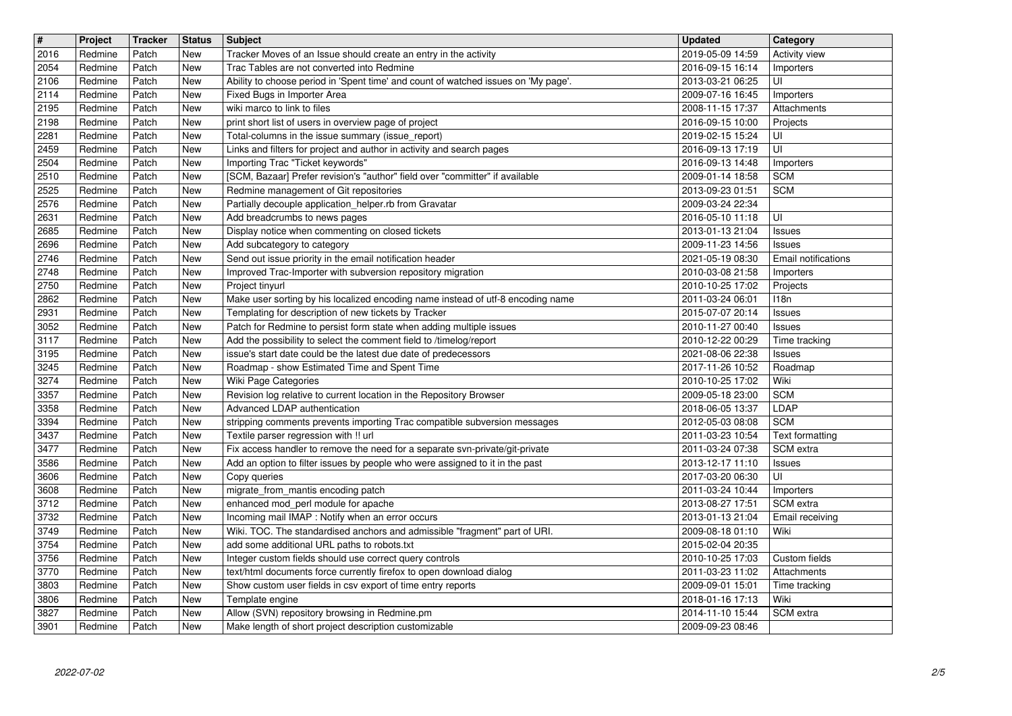| $\sqrt{\frac{4}{15}}$<br>2016 | Project<br>Redmine | Tracker<br>Patch | <b>Status</b><br>New | <b>Subject</b><br>Tracker Moves of an Issue should create an entry in the activity                                                    | <b>Updated</b><br>2019-05-09 14:59                 | Category<br>Activity view      |
|-------------------------------|--------------------|------------------|----------------------|---------------------------------------------------------------------------------------------------------------------------------------|----------------------------------------------------|--------------------------------|
| 2054                          | Redmine            | Patch            | <b>New</b>           | Trac Tables are not converted into Redmine                                                                                            | 2016-09-15 16:14                                   | Importers                      |
| 2106<br>2114                  | Redmine<br>Redmine | Patch<br>Patch   | New<br>New           | Ability to choose period in 'Spent time' and count of watched issues on 'My page'.<br>Fixed Bugs in Importer Area                     | 2013-03-21 06:25<br>2009-07-16 16:45               | UI<br>Importers                |
| 2195                          | Redmine            | Patch            | New                  | wiki marco to link to files                                                                                                           | 2008-11-15 17:37                                   | Attachments                    |
| 2198<br>2281                  | Redmine<br>Redmine | Patch<br>Patch   | New<br>New           | print short list of users in overview page of project<br>Total-columns in the issue summary (issue_report)                            | 2016-09-15 10:00<br>2019-02-15 15:24               | Projects<br>UI                 |
| 2459                          | Redmine            | Patch            | New                  | Links and filters for project and author in activity and search pages                                                                 | 2016-09-13 17:19<br>2016-09-13 14:48               | UI                             |
| 2504<br>2510                  | Redmine<br>Redmine | Patch<br>Patch   | New<br>New           | Importing Trac "Ticket keywords"<br>[SCM, Bazaar] Prefer revision's "author" field over "committer" if available                      | 2009-01-14 18:58                                   | Importers<br><b>SCM</b>        |
| 2525<br>2576                  | Redmine<br>Redmine | Patch<br>Patch   | New<br>New           | Redmine management of Git repositories<br>Partially decouple application_helper.rb from Gravatar                                      | 2013-09-23 01:51<br>2009-03-24 22:34               | <b>SCM</b>                     |
| 2631                          | Redmine            | Patch            | New                  | Add breadcrumbs to news pages                                                                                                         | 2016-05-10 11:18                                   | UI                             |
| 2685<br>2696                  | Redmine<br>Redmine | Patch<br>Patch   | New<br>New           | Display notice when commenting on closed tickets<br>Add subcategory to category                                                       | 2013-01-13 21:04<br>2009-11-23 14:56               | <b>Issues</b><br><b>Issues</b> |
| 2746                          | Redmine            | Patch            | New                  | Send out issue priority in the email notification header                                                                              | 2021-05-19 08:30                                   | Email notifications            |
| 2748<br>2750                  | Redmine<br>Redmine | Patch<br>Patch   | New<br>New           | Improved Trac-Importer with subversion repository migration<br>Project tinyurl                                                        | 2010-03-08 21:58<br>2010-10-25 17:02               | Importers<br>Projects          |
| 2862                          | Redmine            | Patch            | New                  | Make user sorting by his localized encoding name instead of utf-8 encoding name                                                       | 2011-03-24 06:01                                   | 118n                           |
| 2931<br>3052                  | Redmine<br>Redmine | Patch<br>Patch   | New<br>New           | Templating for description of new tickets by Tracker<br>Patch for Redmine to persist form state when adding multiple issues           | 2015-07-07 20:14<br>2010-11-27 00:40               | <b>Issues</b><br><b>Issues</b> |
| 3117<br>3195                  | Redmine<br>Redmine | Patch<br>Patch   | New<br>New           | Add the possibility to select the comment field to /timelog/report<br>issue's start date could be the latest due date of predecessors | 2010-12-22 00:29<br>2021-08-06 22:38               | Time tracking<br><b>Issues</b> |
| 3245                          | Redmine            | Patch            | New                  | Roadmap - show Estimated Time and Spent Time                                                                                          | 2017-11-26 10:52                                   | Roadmap                        |
| 3274<br>3357                  | Redmine<br>Redmine | Patch<br>Patch   | New<br>New           | Wiki Page Categories<br>Revision log relative to current location in the Repository Browser                                           | 2010-10-25 17:02<br>2009-05-18 23:00               | Wiki<br><b>SCM</b>             |
| 3358                          | Redmine            | Patch            | New                  | Advanced LDAP authentication                                                                                                          | 2018-06-05 13:37                                   | LDAP                           |
| 3394<br>3437                  | Redmine<br>Redmine | Patch<br>Patch   | New<br>New           | stripping comments prevents importing Trac compatible subversion messages<br>Textile parser regression with !! url                    | 2012-05-03 08:08<br>2011-03-23 10:54               | <b>SCM</b><br>Text formatting  |
| 3477                          | Redmine            | Patch            | New                  | Fix access handler to remove the need for a separate svn-private/git-private                                                          | 2011-03-24 07:38                                   | SCM extra                      |
| 3586<br>3606                  | Redmine<br>Redmine | Patch<br>Patch   | New<br>New           | Add an option to filter issues by people who were assigned to it in the past<br>Copy queries                                          | 2013-12-17 11:10<br>2017-03-20 06:30               | <b>Issues</b><br>UI            |
| 3608<br>3712                  | Redmine<br>Redmine | Patch<br>Patch   | New<br>New           | migrate_from_mantis encoding patch<br>enhanced mod_perl module for apache                                                             | 2011-03-24 10:44<br>2013-08-27 17:51               | Importers<br>SCM extra         |
| 3732                          | Redmine            | Patch            | New                  | Incoming mail IMAP : Notify when an error occurs                                                                                      | 2013-01-13 21:04                                   | Email receiving                |
| 3749<br>3754                  | Redmine<br>Redmine | Patch<br>Patch   | New<br>New           | Wiki. TOC. The standardised anchors and admissible "fragment" part of URI.<br>add some additional URL paths to robots.txt             | 2009-08-18 01:10<br>2015-02-04 20:35               | Wiki                           |
| 3756                          | Redmine            | Patch            | New                  | Integer custom fields should use correct query controls                                                                               | 2010-10-25 17:03                                   | Custom fields                  |
| $3770$<br>3803                | Redmine<br>Redmine | Patch<br>Patch   | New<br>New           | text/html documents force currently firefox to open download dialog<br>Show custom user fields in csv export of time entry reports    | 2011-03-23 11:02   Attachments<br>2009-09-01 15:01 | Time tracking                  |
| 3806                          | Redmine            | Patch            | New                  | Template engine                                                                                                                       | 2018-01-16 17:13                                   | Wiki                           |
| 3827<br>3901                  | Redmine<br>Redmine | Patch<br>Patch   | New<br>New           | Allow (SVN) repository browsing in Redmine.pm<br>Make length of short project description customizable                                | 2014-11-10 15:44<br>2009-09-23 08:46               | SCM extra                      |
|                               |                    |                  |                      |                                                                                                                                       |                                                    |                                |
|                               |                    |                  |                      |                                                                                                                                       |                                                    |                                |
|                               |                    |                  |                      |                                                                                                                                       |                                                    |                                |
|                               |                    |                  |                      |                                                                                                                                       |                                                    |                                |
|                               |                    |                  |                      |                                                                                                                                       |                                                    |                                |
|                               |                    |                  |                      |                                                                                                                                       |                                                    |                                |
|                               |                    |                  |                      |                                                                                                                                       |                                                    |                                |
|                               |                    |                  |                      |                                                                                                                                       |                                                    |                                |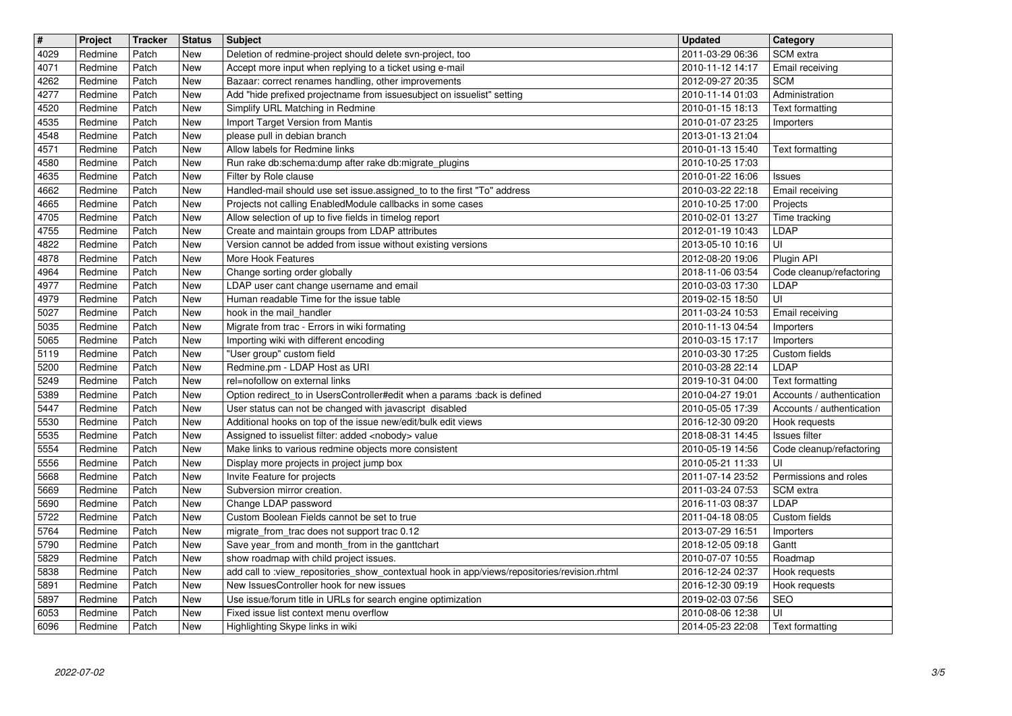| $\sqrt{\frac{4}{15}}$<br>4029 | Project<br>Redmine | <b>Tracker</b><br>Patch | <b>Status</b><br>New | <b>Subject</b><br>Deletion of redmine-project should delete svn-project, too                                                             | <b>Updated</b><br>2011-03-29 06:36   | Category<br>SCM extra                                  |
|-------------------------------|--------------------|-------------------------|----------------------|------------------------------------------------------------------------------------------------------------------------------------------|--------------------------------------|--------------------------------------------------------|
| 4071                          | Redmine            | Patch                   | New                  | Accept more input when replying to a ticket using e-mail                                                                                 | 2010-11-12 14:17                     | Email receiving                                        |
| 4262<br>4277                  | Redmine<br>Redmine | Patch<br>Patch          | New<br>New           | Bazaar: correct renames handling, other improvements<br>Add "hide prefixed projectname from issuesubject on issuelist" setting           | 2012-09-27 20:35<br>2010-11-14 01:03 | <b>SCM</b><br>Administration                           |
| 4520                          | Redmine            | Patch                   | New                  | Simplify URL Matching in Redmine                                                                                                         | 2010-01-15 18:13                     | Text formatting                                        |
| 4535<br>4548                  | Redmine<br>Redmine | Patch<br>Patch          | New<br>New           | Import Target Version from Mantis<br>please pull in debian branch                                                                        | 2010-01-07 23:25<br>2013-01-13 21:04 | Importers                                              |
| 4571<br>4580                  | Redmine<br>Redmine | Patch<br>Patch          | New<br>New           | Allow labels for Redmine links<br>Run rake db:schema:dump after rake db:migrate_plugins                                                  | 2010-01-13 15:40<br>2010-10-25 17:03 | Text formatting                                        |
| 4635                          | Redmine            | Patch                   | New                  | Filter by Role clause                                                                                                                    | 2010-01-22 16:06                     | <b>Issues</b>                                          |
| 4662<br>4665                  | Redmine<br>Redmine | Patch<br>Patch          | New<br>New           | Handled-mail should use set issue assigned_to to the first "To" address<br>Projects not calling EnabledModule callbacks in some cases    | 2010-03-22 22:18<br>2010-10-25 17:00 | Email receiving<br>Projects                            |
| 4705                          | Redmine            | Patch                   | New                  | Allow selection of up to five fields in timelog report                                                                                   | 2010-02-01 13:27                     | Time tracking                                          |
| 4755<br>4822                  | Redmine<br>Redmine | Patch<br>Patch          | New<br>New           | Create and maintain groups from LDAP attributes<br>Version cannot be added from issue without existing versions                          | 2012-01-19 10:43<br>2013-05-10 10:16 | LDAP<br>UI                                             |
| 4878<br>4964                  | Redmine<br>Redmine | Patch<br>Patch          | New<br>New           | More Hook Features<br>Change sorting order globally                                                                                      | 2012-08-20 19:06<br>2018-11-06 03:54 | Plugin API<br>Code cleanup/refactoring                 |
| 4977                          | Redmine            | Patch                   | New                  | LDAP user cant change username and email                                                                                                 | 2010-03-03 17:30                     | LDAP                                                   |
| 4979<br>5027                  | Redmine<br>Redmine | Patch<br>Patch          | New<br>New           | Human readable Time for the issue table<br>hook in the mail_handler                                                                      | 2019-02-15 18:50<br>2011-03-24 10:53 | UI<br>Email receiving                                  |
| 5035<br>5065                  | Redmine<br>Redmine | Patch<br>Patch          | New<br>New           | Migrate from trac - Errors in wiki formating<br>Importing wiki with different encoding                                                   | 2010-11-13 04:54<br>2010-03-15 17:17 | Importers<br>Importers                                 |
| 5119                          | Redmine            | Patch                   | New                  | "User group" custom field                                                                                                                | 2010-03-30 17:25                     | Custom fields                                          |
| 5200<br>5249                  | Redmine<br>Redmine | Patch<br>Patch          | New<br>New           | Redmine.pm - LDAP Host as URI<br>rel=nofollow on external links                                                                          | 2010-03-28 22:14<br>2019-10-31 04:00 | <b>LDAP</b><br>Text formatting                         |
| 5389<br>5447                  | Redmine<br>Redmine | Patch<br>Patch          | New<br>New           | Option redirect_to in UsersController#edit when a params :back is defined<br>User status can not be changed with javascript disabled     | 2010-04-27 19:01<br>2010-05-05 17:39 | Accounts / authentication<br>Accounts / authentication |
| 5530                          | Redmine            | Patch                   | New                  | Additional hooks on top of the issue new/edit/bulk edit views                                                                            | 2016-12-30 09:20                     | Hook requests                                          |
| 5535<br>5554                  | Redmine<br>Redmine | Patch<br>Patch          | New<br>New           | Assigned to issuelist filter: added <nobody> value<br/>Make links to various redmine objects more consistent</nobody>                    | 2018-08-31 14:45<br>2010-05-19 14:56 | Issues filter<br>Code cleanup/refactoring              |
| 5556<br>5668                  | Redmine<br>Redmine | Patch<br>Patch          | New<br>New           | Display more projects in project jump box<br>Invite Feature for projects                                                                 | 2010-05-21 11:33<br>2011-07-14 23:52 | UI<br>Permissions and roles                            |
| 5669                          | Redmine            | Patch                   | New                  | Subversion mirror creation.                                                                                                              | 2011-03-24 07:53                     | SCM extra                                              |
| 5690<br>5722                  | Redmine<br>Redmine | Patch<br>Patch          | New<br>New           | Change LDAP password<br>Custom Boolean Fields cannot be set to true                                                                      | 2016-11-03 08:37<br>2011-04-18 08:05 | LDAP<br>Custom fields                                  |
| 5764                          | Redmine            | Patch                   | New                  | migrate_from_trac does not support trac 0.12                                                                                             | 2013-07-29 16:51                     | Importers                                              |
| 5790<br>5829                  | Redmine<br>Redmine | Patch<br>Patch          | New<br>New           | Save year_from and month_from in the ganttchart<br>show roadmap with child project issues.                                               | 2018-12-05 09:18<br>2010-07-07 10:55 | Gantt<br>Roadmap                                       |
| 5838<br>5891                  | Redmine<br>Redmine | Patch<br>Patch          | <b>New</b><br>New    | add call to :view_repositories_show_contextual hook in app/views/repositories/revision.rhtml<br>New IssuesController hook for new issues | 2016-12-24 02:37<br>2016-12-30 09:19 | Hook requests<br>Hook requests                         |
| 5897                          | Redmine            | Patch                   | New                  | Use issue/forum title in URLs for search engine optimization                                                                             | 2019-02-03 07:56                     | SEO                                                    |
| 6053<br>6096                  | Redmine<br>Redmine | Patch<br>Patch          | New<br>New           | Fixed issue list context menu overflow<br>Highlighting Skype links in wiki                                                               | 2010-08-06 12:38<br>2014-05-23 22:08 | UI<br>Text formatting                                  |
|                               |                    |                         |                      |                                                                                                                                          |                                      |                                                        |
|                               |                    |                         |                      |                                                                                                                                          |                                      |                                                        |
|                               |                    |                         |                      |                                                                                                                                          |                                      |                                                        |
|                               |                    |                         |                      |                                                                                                                                          |                                      |                                                        |
|                               |                    |                         |                      |                                                                                                                                          |                                      |                                                        |
|                               |                    |                         |                      |                                                                                                                                          |                                      |                                                        |
|                               |                    |                         |                      |                                                                                                                                          |                                      |                                                        |
|                               |                    |                         |                      |                                                                                                                                          |                                      |                                                        |
|                               |                    |                         |                      |                                                                                                                                          |                                      |                                                        |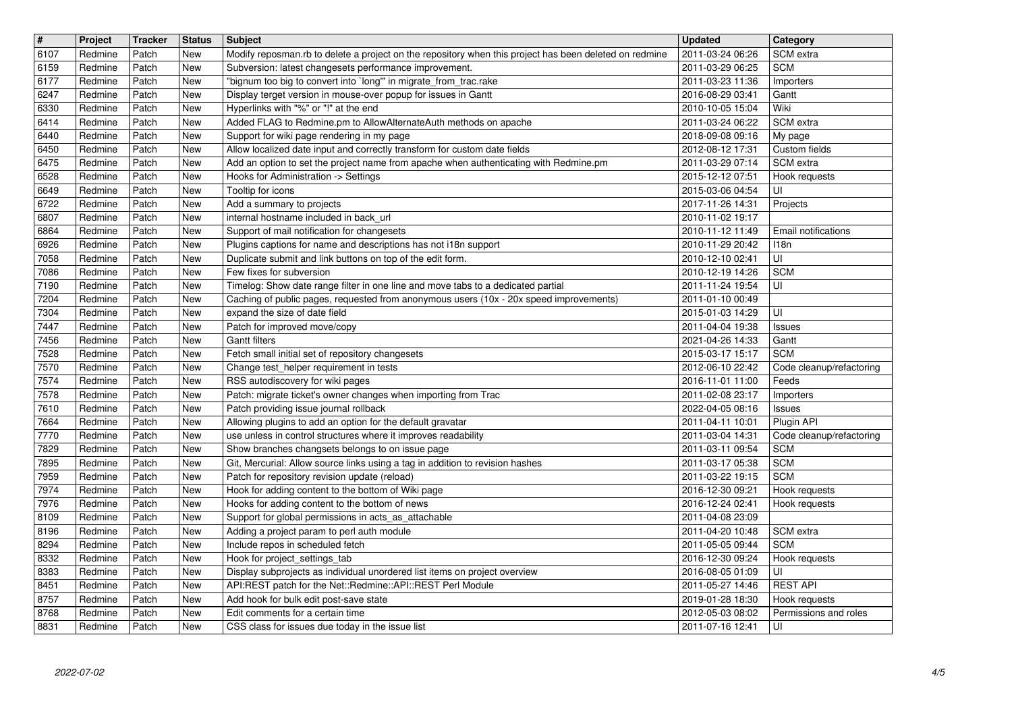| $\overline{\mathbf{H}}$<br>6107 | Project<br>Redmine | <b>Tracker</b><br>Patch | <b>Status</b><br>New | <b>Subject</b><br>Modify reposman.rb to delete a project on the repository when this project has been deleted on redmine                                                   | <b>Updated</b><br>2011-03-24 06:26   | Category<br>SCM extra                               |
|---------------------------------|--------------------|-------------------------|----------------------|----------------------------------------------------------------------------------------------------------------------------------------------------------------------------|--------------------------------------|-----------------------------------------------------|
| 6159                            | Redmine            | Patch                   | New                  | Subversion: latest changesets performance improvement.                                                                                                                     | 2011-03-29 06:25                     | <b>SCM</b>                                          |
| 6177<br>6247                    | Redmine<br>Redmine | Patch<br>Patch          | New<br>New           | "bignum too big to convert into `long'" in migrate_from_trac.rake<br>Display terget version in mouse-over popup for issues in Gantt                                        | 2011-03-23 11:36<br>2016-08-29 03:41 | Importers<br>Gantt                                  |
| 6330                            | Redmine            | Patch                   | New                  | Hyperlinks with "%" or "!" at the end                                                                                                                                      | 2010-10-05 15:04                     | Wiki                                                |
| 6414<br>6440                    | Redmine<br>Redmine | Patch<br>Patch          | New<br>New           | Added FLAG to Redmine.pm to AllowAlternateAuth methods on apache<br>Support for wiki page rendering in my page                                                             | 2011-03-24 06:22<br>2018-09-08 09:16 | SCM extra<br>My page                                |
| 6450                            | Redmine            | Patch                   | New                  | Allow localized date input and correctly transform for custom date fields                                                                                                  | 2012-08-12 17:31                     | Custom fields                                       |
| 6475<br>6528                    | Redmine<br>Redmine | Patch<br>Patch          | New<br>New           | Add an option to set the project name from apache when authenticating with Redmine.pm<br>Hooks for Administration -> Settings                                              | 2011-03-29 07:14<br>2015-12-12 07:51 | SCM extra<br>Hook requests                          |
| 6649                            | Redmine            | Patch                   | New                  | Tooltip for icons                                                                                                                                                          | 2015-03-06 04:54                     | UI                                                  |
| 6722<br>6807                    | Redmine<br>Redmine | Patch<br>Patch          | New<br>New           | Add a summary to projects<br>internal hostname included in back_url                                                                                                        | 2017-11-26 14:31<br>2010-11-02 19:17 | Projects                                            |
| 6864                            | Redmine            | Patch                   | New                  | Support of mail notification for changesets                                                                                                                                | 2010-11-12 11:49                     | Email notifications                                 |
| 6926<br>7058                    | Redmine<br>Redmine | Patch<br>Patch          | New<br>New           | Plugins captions for name and descriptions has not i18n support<br>Duplicate submit and link buttons on top of the edit form.                                              | 2010-11-29 20:42<br>2010-12-10 02:41 | 118n<br>UI                                          |
| 7086                            | Redmine            | Patch                   | New                  | Few fixes for subversion                                                                                                                                                   | 2010-12-19 14:26                     | <b>SCM</b>                                          |
| 7190<br>7204                    | Redmine<br>Redmine | Patch<br>Patch          | New<br>New           | Timelog: Show date range filter in one line and move tabs to a dedicated partial<br>Caching of public pages, requested from anonymous users (10x - 20x speed improvements) | 2011-11-24 19:54<br>2011-01-10 00:49 | UI                                                  |
| 7304                            | Redmine            | Patch                   | New                  | expand the size of date field                                                                                                                                              | 2015-01-03 14:29                     | UI                                                  |
| 7447<br>7456                    | Redmine<br>Redmine | Patch<br>Patch          | New<br>New           | Patch for improved move/copy<br><b>Gantt filters</b>                                                                                                                       | 2011-04-04 19:38<br>2021-04-26 14:33 | Issues<br>Gantt                                     |
| 7528                            | Redmine            | Patch                   | New                  | Fetch small initial set of repository changesets                                                                                                                           | 2015-03-17 15:17                     | <b>SCM</b>                                          |
| 7570<br>7574                    | Redmine<br>Redmine | Patch<br>Patch          | New<br>New           | Change test helper requirement in tests<br>RSS autodiscovery for wiki pages                                                                                                | 2012-06-10 22:42<br>2016-11-01 11:00 | Code cleanup/refactoring<br>Feeds                   |
| 7578                            | Redmine            | Patch                   | New                  | Patch: migrate ticket's owner changes when importing from Trac                                                                                                             | 2011-02-08 23:17                     | Importers                                           |
| 7610<br>7664                    | Redmine<br>Redmine | Patch<br>Patch          | New<br>New           | Patch providing issue journal rollback<br>Allowing plugins to add an option for the default gravatar                                                                       | 2022-04-05 08:16<br>2011-04-11 10:01 | Issues<br>Plugin API                                |
| 7770                            | Redmine            | Patch                   | New                  | use unless in control structures where it improves readability                                                                                                             | 2011-03-04 14:31                     | Code cleanup/refactoring                            |
| 7829<br>7895                    | Redmine<br>Redmine | Patch<br>Patch          | New<br>New           | Show branches changsets belongs to on issue page<br>Git, Mercurial: Allow source links using a tag in addition to revision hashes                                          | 2011-03-11 09:54<br>2011-03-17 05:38 | <b>SCM</b><br><b>SCM</b>                            |
| 7959                            | Redmine            | Patch                   | New                  | Patch for repository revision update (reload)                                                                                                                              | 2011-03-22 19:15                     | <b>SCM</b>                                          |
| 7974<br>7976                    | Redmine<br>Redmine | Patch<br>Patch          | New<br>New           | Hook for adding content to the bottom of Wiki page<br>Hooks for adding content to the bottom of news                                                                       | 2016-12-30 09:21<br>2016-12-24 02:41 | Hook requests<br>Hook requests                      |
| 8109                            | Redmine            | Patch                   | New                  | Support for global permissions in acts_as_attachable                                                                                                                       | 2011-04-08 23:09                     |                                                     |
| 8196<br>8294                    | Redmine<br>Redmine | Patch<br>Patch          | New<br>New           | Adding a project param to perl auth module<br>Include repos in scheduled fetch                                                                                             | 2011-04-20 10:48<br>2011-05-05 09:44 | SCM extra<br><b>SCM</b>                             |
| 8332                            | Redmine            | Patch                   | New<br>New           | Hook for project_settings_tab                                                                                                                                              | 2016-12-30 09:24                     | Hook requests<br>$\overline{\overline{\mathsf{u}}}$ |
| 8383<br>8451                    | Redmine<br>Redmine | Patch<br>Patch          | New                  | Display subprojects as individual unordered list items on project overview<br>API:REST patch for the Net::Redmine::API::REST Perl Module                                   | 2016-08-05 01:09<br>2011-05-27 14:46 | <b>REST API</b>                                     |
| 8757                            | Redmine            | Patch                   | New                  | Add hook for bulk edit post-save state<br>Edit comments for a certain time                                                                                                 | 2019-01-28 18:30<br>2012-05-03 08:02 | Hook requests<br>Permissions and roles              |
| 8768<br>8831                    | Redmine<br>Redmine | Patch<br>Patch          | New<br>New           | CSS class for issues due today in the issue list                                                                                                                           | 2011-07-16 12:41                     | UI                                                  |
|                                 |                    |                         |                      |                                                                                                                                                                            |                                      |                                                     |
|                                 |                    |                         |                      |                                                                                                                                                                            |                                      |                                                     |
|                                 |                    |                         |                      |                                                                                                                                                                            |                                      |                                                     |
|                                 |                    |                         |                      |                                                                                                                                                                            |                                      |                                                     |
|                                 |                    |                         |                      |                                                                                                                                                                            |                                      |                                                     |
|                                 |                    |                         |                      |                                                                                                                                                                            |                                      |                                                     |
|                                 |                    |                         |                      |                                                                                                                                                                            |                                      |                                                     |
|                                 |                    |                         |                      |                                                                                                                                                                            |                                      |                                                     |
|                                 |                    |                         |                      |                                                                                                                                                                            |                                      |                                                     |